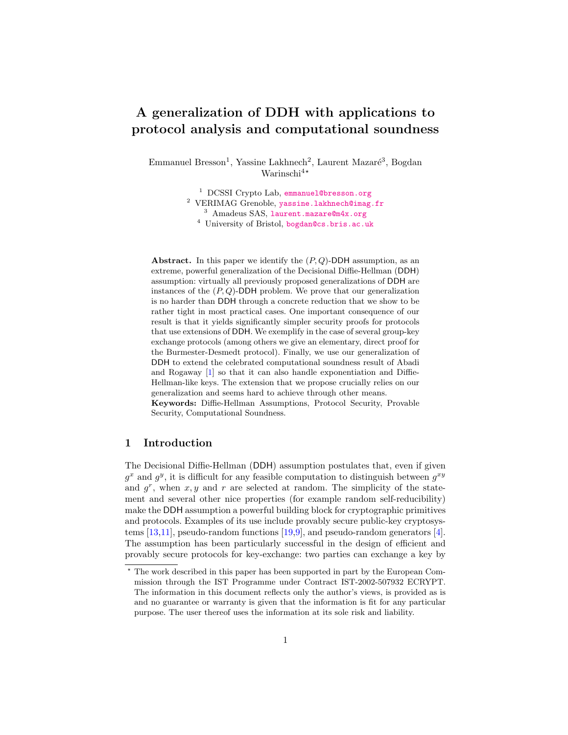# A generalization of DDH with applications to protocol analysis and computational soundness

Emmanuel Bresson<sup>1</sup>, Yassine Lakhnech<sup>2</sup>, Laurent Mazaré<sup>3</sup>, Bogdan Warinschi<sup>4\*</sup>

<sup>1</sup> DCSSI Crypto Lab, <emmanuel@bresson.org>

<sup>2</sup> VERIMAG Grenoble, <yassine.lakhnech@imag.fr>

<sup>3</sup> Amadeus SAS, <laurent.mazare@m4x.org>

<sup>4</sup> University of Bristol, <bogdan@cs.bris.ac.uk>

Abstract. In this paper we identify the  $(P, Q)$ -DDH assumption, as an extreme, powerful generalization of the Decisional Diffie-Hellman (DDH) assumption: virtually all previously proposed generalizations of DDH are instances of the  $(P, Q)$ -DDH problem. We prove that our generalization is no harder than DDH through a concrete reduction that we show to be rather tight in most practical cases. One important consequence of our result is that it yields significantly simpler security proofs for protocols that use extensions of DDH. We exemplify in the case of several group-key exchange protocols (among others we give an elementary, direct proof for the Burmester-Desmedt protocol). Finally, we use our generalization of DDH to extend the celebrated computational soundness result of Abadi and Rogaway [\[1\]](#page-16-0) so that it can also handle exponentiation and Diffie-Hellman-like keys. The extension that we propose crucially relies on our generalization and seems hard to achieve through other means.

Keywords: Diffie-Hellman Assumptions, Protocol Security, Provable Security, Computational Soundness.

### 1 Introduction

The Decisional Diffie-Hellman (DDH) assumption postulates that, even if given  $g^x$  and  $g^y$ , it is difficult for any feasible computation to distinguish between  $g^{xy}$ and  $g^r$ , when  $x, y$  and  $r$  are selected at random. The simplicity of the statement and several other nice properties (for example random self-reducibility) make the DDH assumption a powerful building block for cryptographic primitives and protocols. Examples of its use include provably secure public-key cryptosystems  $[13,11]$  $[13,11]$ , pseudo-random functions  $[19,9]$  $[19,9]$ , and pseudo-random generators  $[4]$ . The assumption has been particularly successful in the design of efficient and provably secure protocols for key-exchange: two parties can exchange a key by

<sup>?</sup> The work described in this paper has been supported in part by the European Commission through the IST Programme under Contract IST-2002-507932 ECRYPT. The information in this document reflects only the author's views, is provided as is and no guarantee or warranty is given that the information is fit for any particular purpose. The user thereof uses the information at its sole risk and liability.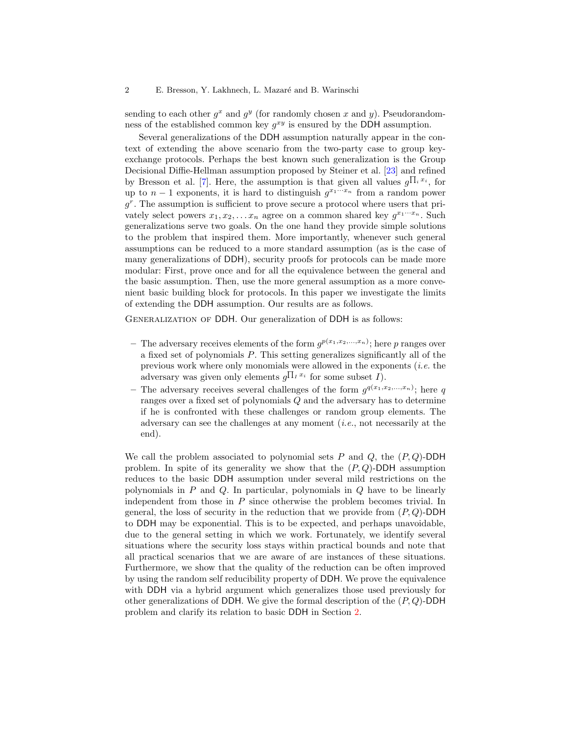sending to each other  $g^x$  and  $g^y$  (for randomly chosen x and y). Pseudorandomness of the established common key  $g^{xy}$  is ensured by the DDH assumption.

Several generalizations of the DDH assumption naturally appear in the context of extending the above scenario from the two-party case to group keyexchange protocols. Perhaps the best known such generalization is the Group Decisional Diffie-Hellman assumption proposed by Steiner et al. [\[23\]](#page-17-4) and refined by Bresson et al. [\[7\]](#page-16-2). Here, the assumption is that given all values  $g^{\prod_i x_i}$ , for up to  $n-1$  exponents, it is hard to distinguish  $g^{x_1 \cdots x_n}$  from a random power  $g<sup>r</sup>$ . The assumption is sufficient to prove secure a protocol where users that privately select powers  $x_1, x_2, \ldots x_n$  agree on a common shared key  $g^{x_1 \cdots x_n}$ . Such generalizations serve two goals. On the one hand they provide simple solutions to the problem that inspired them. More importantly, whenever such general assumptions can be reduced to a more standard assumption (as is the case of many generalizations of DDH), security proofs for protocols can be made more modular: First, prove once and for all the equivalence between the general and the basic assumption. Then, use the more general assumption as a more convenient basic building block for protocols. In this paper we investigate the limits of extending the DDH assumption. Our results are as follows.

Generalization of DDH. Our generalization of DDH is as follows:

- The adversary receives elements of the form  $g^{p(x_1,x_2,...,x_n)}$ ; here p ranges over a fixed set of polynomials P. This setting generalizes significantly all of the previous work where only monomials were allowed in the exponents  $(i.e.$  the adversary was given only elements  $g^{\prod_I x_i}$  for some subset *I*).
- The adversary receives several challenges of the form  $g^{q(x_1,x_2,...,x_n)}$ ; here q ranges over a fixed set of polynomials Q and the adversary has to determine if he is confronted with these challenges or random group elements. The adversary can see the challenges at any moment  $(i.e., not necessarily at the$ end).

We call the problem associated to polynomial sets  $P$  and  $Q$ , the  $(P, Q)$ -DDH problem. In spite of its generality we show that the  $(P,Q)$ -DDH assumption reduces to the basic DDH assumption under several mild restrictions on the polynomials in  $P$  and  $Q$ . In particular, polynomials in  $Q$  have to be linearly independent from those in P since otherwise the problem becomes trivial. In general, the loss of security in the reduction that we provide from  $(P,Q)$ -DDH to DDH may be exponential. This is to be expected, and perhaps unavoidable, due to the general setting in which we work. Fortunately, we identify several situations where the security loss stays within practical bounds and note that all practical scenarios that we are aware of are instances of these situations. Furthermore, we show that the quality of the reduction can be often improved by using the random self reducibility property of DDH. We prove the equivalence with DDH via a hybrid argument which generalizes those used previously for other generalizations of DDH. We give the formal description of the  $(P, Q)$ -DDH problem and clarify its relation to basic DDH in Section [2.](#page-3-0)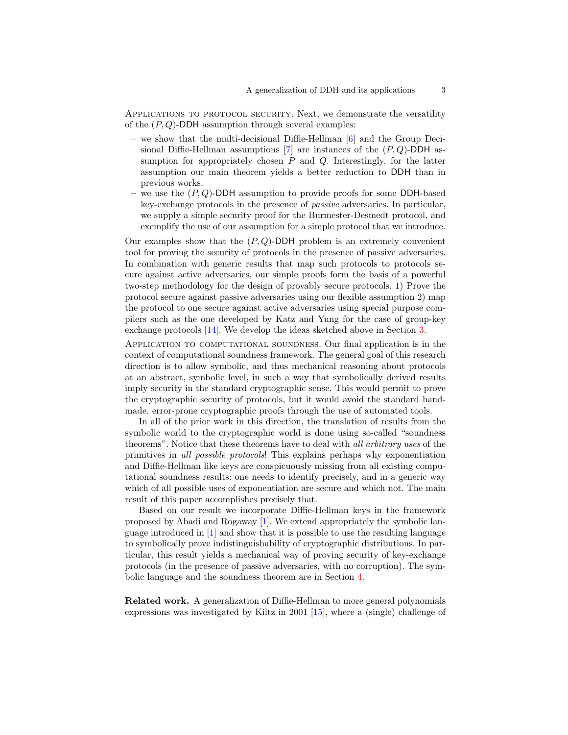Applications to protocol security. Next, we demonstrate the versatility of the  $(P,Q)$ -DDH assumption through several examples:

- we show that the multi-decisional Diffie-Hellman  $[6]$  and the Group Deci-sional Diffie-Hellman assumptions [\[7\]](#page-16-2) are instances of the  $(P,Q)$ -DDH assumption for appropriately chosen  $P$  and  $Q$ . Interestingly, for the latter assumption our main theorem yields a better reduction to DDH than in previous works.
- we use the  $(P, Q)$ -DDH assumption to provide proofs for some DDH-based key-exchange protocols in the presence of passive adversaries. In particular, we supply a simple security proof for the Burmester-Desmedt protocol, and exemplify the use of our assumption for a simple protocol that we introduce.

Our examples show that the  $(P,Q)$ -DDH problem is an extremely convenient tool for proving the security of protocols in the presence of passive adversaries. In combination with generic results that map such protocols to protocols secure against active adversaries, our simple proofs form the basis of a powerful two-step methodology for the design of provably secure protocols. 1) Prove the protocol secure against passive adversaries using our flexible assumption 2) map the protocol to one secure against active adversaries using special purpose compilers such as the one developed by Katz and Yung for the case of group-key exchange protocols [\[14\]](#page-17-5). We develop the ideas sketched above in Section [3.](#page-10-0)

Application to computational soundness. Our final application is in the context of computational soundness framework. The general goal of this research direction is to allow symbolic, and thus mechanical reasoning about protocols at an abstract, symbolic level, in such a way that symbolically derived results imply security in the standard cryptographic sense. This would permit to prove the cryptographic security of protocols, but it would avoid the standard handmade, error-prone cryptographic proofs through the use of automated tools.

In all of the prior work in this direction, the translation of results from the symbolic world to the cryptographic world is done using so-called "soundness theorems". Notice that these theorems have to deal with all arbitrary uses of the primitives in all possible protocols! This explains perhaps why exponentiation and Diffie-Hellman like keys are conspicuously missing from all existing computational soundness results: one needs to identify precisely, and in a generic way which of all possible uses of exponentiation are secure and which not. The main result of this paper accomplishes precisely that.

Based on our result we incorporate Diffie-Hellman keys in the framework proposed by Abadi and Rogaway [\[1\]](#page-16-0). We extend appropriately the symbolic language introduced in [\[1\]](#page-16-0) and show that it is possible to use the resulting language to symbolically prove indistinguishability of cryptographic distributions. In particular, this result yields a mechanical way of proving security of key-exchange protocols (in the presence of passive adversaries, with no corruption). The symbolic language and the soundness theorem are in Section [4.](#page-12-0)

Related work. A generalization of Diffie-Hellman to more general polynomials expressions was investigated by Kiltz in 2001 [\[15\]](#page-17-6), where a (single) challenge of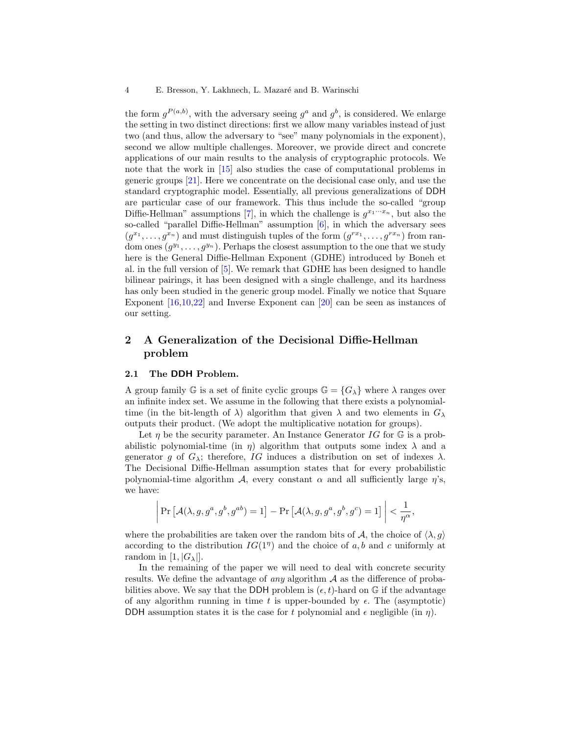the form  $g^{P(a,b)}$ , with the adversary seeing  $g^a$  and  $g^b$ , is considered. We enlarge the setting in two distinct directions: first we allow many variables instead of just two (and thus, allow the adversary to "see" many polynomials in the exponent), second we allow multiple challenges. Moreover, we provide direct and concrete applications of our main results to the analysis of cryptographic protocols. We note that the work in [\[15\]](#page-17-6) also studies the case of computational problems in generic groups [\[21\]](#page-17-7). Here we concentrate on the decisional case only, and use the standard cryptographic model. Essentially, all previous generalizations of DDH are particular case of our framework. This thus include the so-called "group Diffie-Hellman" assumptions [\[7\]](#page-16-2), in which the challenge is  $g^{x_1 \cdots x_n}$ , but also the so-called "parallel Diffie-Hellman" assumption [\[6\]](#page-16-3), in which the adversary sees  $(g^{x_1}, \ldots, g^{x_n})$  and must distinguish tuples of the form  $(g^{rx_1}, \ldots, g^{rx_n})$  from random ones  $(g^{y_1}, \ldots, g^{y_n})$ . Perhaps the closest assumption to the one that we study here is the General Diffie-Hellman Exponent (GDHE) introduced by Boneh et al. in the full version of [\[5\]](#page-16-4). We remark that GDHE has been designed to handle bilinear pairings, it has been designed with a single challenge, and its hardness has only been studied in the generic group model. Finally we notice that Square Exponent [\[16,](#page-17-8)[10,](#page-17-9)[22\]](#page-17-10) and Inverse Exponent can [\[20\]](#page-17-11) can be seen as instances of our setting.

## <span id="page-3-0"></span>2 A Generalization of the Decisional Diffie-Hellman problem

#### 2.1 The DDH Problem.

A group family G is a set of finite cyclic groups  $\mathbb{G} = \{G_\lambda\}$  where  $\lambda$  ranges over an infinite index set. We assume in the following that there exists a polynomialtime (in the bit-length of  $\lambda$ ) algorithm that given  $\lambda$  and two elements in  $G_{\lambda}$ outputs their product. (We adopt the multiplicative notation for groups).

Let  $\eta$  be the security parameter. An Instance Generator IG for  $\mathbb G$  is a probabilistic polynomial-time (in  $\eta$ ) algorithm that outputs some index  $\lambda$  and a generator g of  $G_{\lambda}$ ; therefore, IG induces a distribution on set of indexes  $\lambda$ . The Decisional Diffie-Hellman assumption states that for every probabilistic polynomial-time algorithm A, every constant  $\alpha$  and all sufficiently large  $\eta$ 's, we have:

$$
\left|\Pr\left[\mathcal{A}(\lambda,g,g^a,g^b,g^{ab})=1\right]-\Pr\left[\mathcal{A}(\lambda,g,g^a,g^b,g^c)=1\right]\right|<\frac{1}{\eta^{\alpha}},
$$

where the probabilities are taken over the random bits of  $\mathcal{A}$ , the choice of  $\langle \lambda, q \rangle$ according to the distribution  $IG(1<sup>\eta</sup>)$  and the choice of a, b and c uniformly at random in [1,  $|G_\lambda|$ ].

In the remaining of the paper we will need to deal with concrete security results. We define the advantage of *any* algorithm  $\mathcal A$  as the difference of probabilities above. We say that the DDH problem is  $(\epsilon, t)$ -hard on G if the advantage of any algorithm running in time t is upper-bounded by  $\epsilon$ . The (asymptotic) DDH assumption states it is the case for t polynomial and  $\epsilon$  negligible (in  $\eta$ ).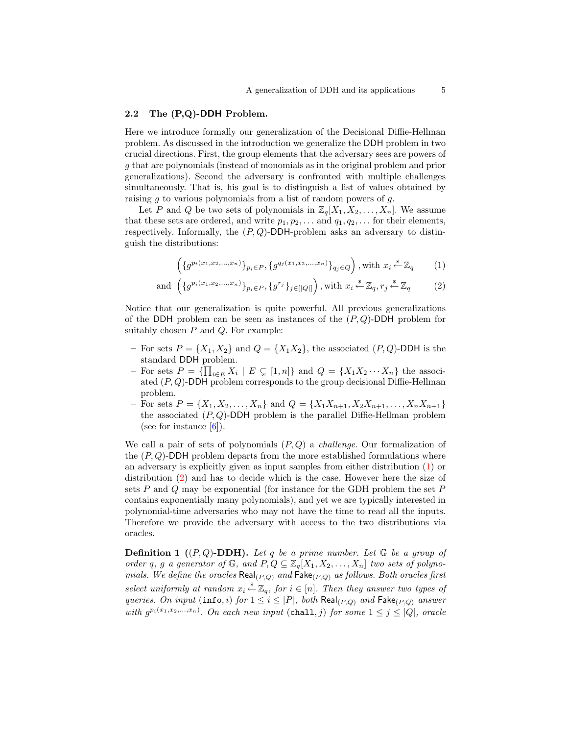### 2.2 The (P,Q)-DDH Problem.

Here we introduce formally our generalization of the Decisional Diffie-Hellman problem. As discussed in the introduction we generalize the DDH problem in two crucial directions. First, the group elements that the adversary sees are powers of g that are polynomials (instead of monomials as in the original problem and prior generalizations). Second the adversary is confronted with multiple challenges simultaneously. That is, his goal is to distinguish a list of values obtained by raising  $g$  to various polynomials from a list of random powers of  $g$ .

Let P and Q be two sets of polynomials in  $\mathbb{Z}_q[X_1, X_2, \ldots, X_n]$ . We assume that these sets are ordered, and write  $p_1, p_2, \ldots$  and  $q_1, q_2, \ldots$  for their elements, respectively. Informally, the  $(P,Q)$ -DDH-problem asks an adversary to distinguish the distributions:

<span id="page-4-0"></span>
$$
\left(\{g^{p_i(x_1,x_2,...,x_n)}\}_{p_i \in P}, \{g^{q_j(x_1,x_2,...,x_n)}\}_{q_j \in Q}\right), \text{with } x_i \stackrel{\text{s}}{\leftarrow} \mathbb{Z}_q \tag{1}
$$

and 
$$
\left(\{g^{p_i(x_1,x_2,...,x_n)}\}_{p_i\in P}, \{g^{r_j}\}_{j\in[|Q|]}\right)
$$
, with  $x_i \stackrel{\$}{\leftarrow} \mathbb{Z}_q, r_j \stackrel{\$}{\leftarrow} \mathbb{Z}_q$  (2)

Notice that our generalization is quite powerful. All previous generalizations of the DDH problem can be seen as instances of the  $(P, Q)$ -DDH problem for suitably chosen  $P$  and  $Q$ . For example:

- For sets  $P = \{X_1, X_2\}$  and  $Q = \{X_1X_2\}$ , the associated  $(P, Q)$ -DDH is the standard DDH problem.
- For sets  $P = {\prod_{i \in E} X_i \mid E \subsetneq [1, n]}$  and  $Q = {X_1 X_2 \cdots X_n}$  the associated  $(P, Q)$ -DDH problem corresponds to the group decisional Diffie-Hellman problem.
- For sets  $P = \{X_1, X_2, \ldots, X_n\}$  and  $Q = \{X_1X_{n+1}, X_2X_{n+1}, \ldots, X_nX_{n+1}\}\$ the associated  $(P, Q)$ -DDH problem is the parallel Diffie-Hellman problem (see for instance  $[6]$ ).

We call a pair of sets of polynomials  $(P, Q)$  a *challenge*. Our formalization of the  $(P,Q)$ -DDH problem departs from the more established formulations where an adversary is explicitly given as input samples from either distribution [\(1\)](#page-4-0) or distribution [\(2\)](#page-4-0) and has to decide which is the case. However here the size of sets  $P$  and  $Q$  may be exponential (for instance for the GDH problem the set  $P$ contains exponentially many polynomials), and yet we are typically interested in polynomial-time adversaries who may not have the time to read all the inputs. Therefore we provide the adversary with access to the two distributions via oracles.

**Definition 1** ( $(P,Q)$ -DDH). Let q be a prime number. Let  $\mathbb{G}$  be a group of order q, g a generator of  $\mathbb{G}$ , and  $P, Q \subseteq \mathbb{Z}_q[X_1, X_2, \ldots, X_n]$  two sets of polynomials. We define the oracles  $\textsf{Real}_{(P,Q)}$  and  $\textsf{False}_{(P,Q)}$  as follows. Both oracles first select uniformly at random  $x_i \stackrel{\text{*}}{\leftarrow} \mathbb{Z}_q$ , for  $i \in [n]$ . Then they answer two types of queries. On input (info, i) for  $1 \leq i \leq |P|$ , both Real( $_{P,Q}$ ) and Fake( $_{P,Q}$ ) answer with  $g^{p_i(x_1,x_2,...,x_n)}$ . On each new input (chall, j) for some  $1 \leq j \leq |Q|$ , oracle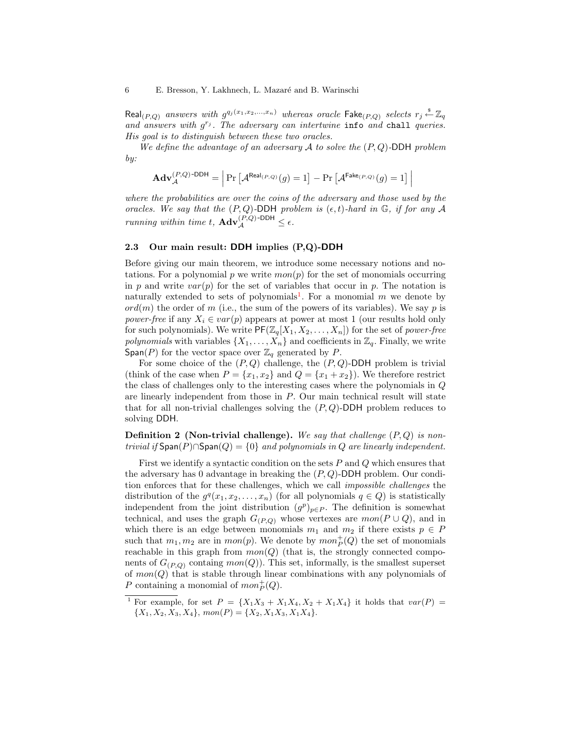Real<sub>(P,Q)</sub> answers with  $g^{q_j(x_1,x_2,...,x_n)}$  whereas oracle Fake<sub>(P,Q)</sub> selects  $r_j \stackrel{\text{s}}{\leftarrow} \mathbb{Z}_q$ and answers with  $g^{r_j}$ . The adversary can intertwine info and chall queries. His goal is to distinguish between these two oracles.

We define the advantage of an adversary  $A$  to solve the  $(P,Q)$ -DDH problem by:

$$
\mathbf{Adv}_{\mathcal{A}}^{(P,Q)\text{-DDH}} = \left| \Pr \left[ \mathcal{A}^{\mathsf{Real}_{(P,Q)}}(g) = 1 \right] - \Pr \left[ \mathcal{A}^{\mathsf{Fake}_{(P,Q)}}(g) = 1 \right] \right|
$$

where the probabilities are over the coins of the adversary and those used by the oracles. We say that the  $(P,Q)$ -DDH problem is  $(\epsilon, t)$ -hard in  $\mathbb{G}$ , if for any A running within time t,  $\mathbf{Adv}_{\mathcal{A}}^{(P,Q)\text{-DDH}} \leq \epsilon$ .

#### 2.3 Our main result: DDH implies (P,Q)-DDH

Before giving our main theorem, we introduce some necessary notions and notations. For a polynomial p we write  $mon(p)$  for the set of monomials occurring in p and write  $var(p)$  for the set of variables that occur in p. The notation is naturally extended to sets of polynomials<sup>[1](#page-5-0)</sup>. For a monomial  $m$  we denote by  $\text{ord}(m)$  the order of m (i.e., the sum of the powers of its variables). We say p is power-free if any  $X_i \in var(p)$  appears at power at most 1 (our results hold only for such polynomials). We write  $PF(\mathbb{Z}_q[X_1, X_2, \ldots, X_n])$  for the set of *power-free* polynomials with variables  $\{X_1, \ldots, X_n\}$  and coefficients in  $\mathbb{Z}_q$ . Finally, we write Span(P) for the vector space over  $\mathbb{Z}_q$  generated by P.

For some choice of the  $(P,Q)$  challenge, the  $(P,Q)$ -DDH problem is trivial (think of the case when  $P = \{x_1, x_2\}$  and  $Q = \{x_1 + x_2\}$ ). We therefore restrict the class of challenges only to the interesting cases where the polynomials in Q are linearly independent from those in  $P$ . Our main technical result will state that for all non-trivial challenges solving the  $(P, Q)$ -DDH problem reduces to solving DDH.

**Definition 2** (Non-trivial challenge). We say that challenge  $(P, Q)$  is nontrivial if Span(P)∩Span(Q) = {0} and polynomials in Q are linearly independent.

First we identify a syntactic condition on the sets  $P$  and  $Q$  which ensures that the adversary has 0 advantage in breaking the  $(P, Q)$ -DDH problem. Our condition enforces that for these challenges, which we call impossible challenges the distribution of the  $g^q(x_1, x_2, \ldots, x_n)$  (for all polynomials  $q \in Q$ ) is statistically independent from the joint distribution  $(g^p)_{p \in P}$ . The definition is somewhat technical, and uses the graph  $G_{(P,Q)}$  whose vertexes are  $mon(P \cup Q)$ , and in which there is an edge between monomials  $m_1$  and  $m_2$  if there exists  $p \in P$ such that  $m_1, m_2$  are in  $mon(p)$ . We denote by  $mon_p^+(Q)$  the set of monomials reachable in this graph from  $mon(Q)$  (that is, the strongly connected components of  $G_{(P,Q)}$  containg  $mon(Q)$ ). This set, informally, is the smallest superset of  $mon(Q)$  that is stable through linear combinations with any polynomials of P containing a monomial of  $mon_P^+(Q)$ .

<span id="page-5-0"></span><sup>&</sup>lt;sup>1</sup> For example, for set  $P = \{X_1X_3 + X_1X_4, X_2 + X_1X_4\}$  it holds that  $var(P)$  ${X_1, X_2, X_3, X_4}, \, \text{mon}(P) = {X_2, X_1X_3, X_1X_4}.$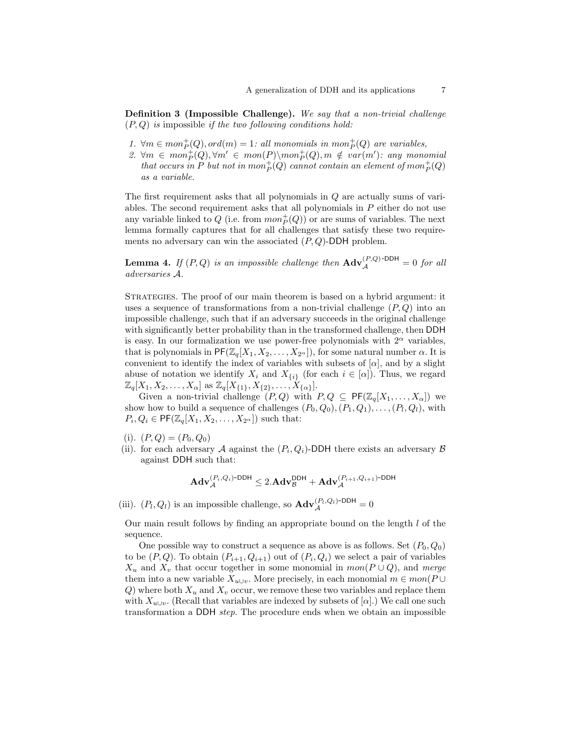Definition 3 (Impossible Challenge). We say that a non-trivial challenge  $(P,Q)$  is impossible if the two following conditions hold:

- 1.  $\forall m \in mon_P^+(Q)$ ,  $ord(m) = 1$ : all monomials in  $mon_P^+(Q)$  are variables,
- 2.  $\forall m \in mon_P^+(Q), \forall m' \in mon(P) \setminus mon_P^+(Q), m \notin var(m')$ : any monomial that occurs in  $P$  but not in mon $_P^+(Q)$  cannot contain an element of mon $_P^+(Q)$ as a variable.

The first requirement asks that all polynomials in Q are actually sums of variables. The second requirement asks that all polynomials in  $P$  either do not use any variable linked to  $Q$  (i.e. from  $\mathit{mon}^+_P(Q)$ ) or are sums of variables. The next lemma formally captures that for all challenges that satisfy these two requirements no adversary can win the associated  $(P, Q)$ -DDH problem.

**Lemma 4.** If  $(P,Q)$  is an impossible challenge then  $\text{Adv}_{\mathcal{A}}^{(P,Q)\text{-DDH}}=0$  for all adversaries A.

Strategies. The proof of our main theorem is based on a hybrid argument: it uses a sequence of transformations from a non-trivial challenge  $(P, Q)$  into an impossible challenge, such that if an adversary succeeds in the original challenge with significantly better probability than in the transformed challenge, then DDH is easy. In our formalization we use power-free polynomials with  $2^{\alpha}$  variables, that is polynomials in  $PF(\mathbb{Z}_q[X_1, X_2, \ldots, X_{2^{\alpha}}])$ , for some natural number  $\alpha$ . It is convenient to identify the index of variables with subsets of  $[\alpha]$ , and by a slight abuse of notation we identify  $X_i$  and  $X_{\{i\}}$  (for each  $i \in [\alpha]$ ). Thus, we regard  $\mathbb{Z}_q[X_1, X_2, \ldots, X_{\alpha}]$  as  $\mathbb{Z}_q[X_{\{1\}}, X_{\{2\}}, \ldots, X_{\{\alpha\}}].$ 

Given a non-trivial challenge  $(P,Q)$  with  $P,Q \subseteq \mathsf{PF}(\mathbb{Z}_q[X_1,\ldots,X_\alpha])$  we show how to build a sequence of challenges  $(P_0, Q_0), (P_1, Q_1), \ldots, (P_l, Q_l)$ , with  $P_i, Q_i \in \mathsf{PF}(\mathbb{Z}_q[X_1, X_2, \ldots, X_{2^{\alpha}}])$  such that:

- (i).  $(P,Q) = (P_0, Q_0)$
- <span id="page-6-1"></span>(ii). for each adversary A against the  $(P_i, Q_i)$ -DDH there exists an adversary B against DDH such that:

$$
\mathbf{Adv}_{\mathcal{A}}^{(P_i,Q_i)\text{-DDH}} \leq 2.\mathbf{Adv}_{\mathcal{B}}^{\mathsf{DDH}} + \mathbf{Adv}_{\mathcal{A}}^{(P_{i+1},Q_{i+1})\text{-DDH}}
$$

<span id="page-6-0"></span>(iii).  $(P_l, Q_l)$  is an impossible challenge, so  $\mathbf{Adv}_{\mathcal{A}}^{(P_l, Q_l)\text{-DDH}} = 0$ 

Our main result follows by finding an appropriate bound on the length  $l$  of the sequence.

One possible way to construct a sequence as above is as follows. Set  $(P_0, Q_0)$ to be  $(P,Q)$ . To obtain  $(P_{i+1}, Q_{i+1})$  out of  $(P_i, Q_i)$  we select a pair of variables  $X_u$  and  $X_v$  that occur together in some monomial in  $mon(P\cup Q)$ , and merge them into a new variable  $X_{u\cup v}$ . More precisely, in each monomial  $m \in mon(P \cup$ Q) where both  $X_u$  and  $X_v$  occur, we remove these two variables and replace them with  $X_{u\cup v}$ . (Recall that variables are indexed by subsets of [ $\alpha$ ].) We call one such transformation a DDH step. The procedure ends when we obtain an impossible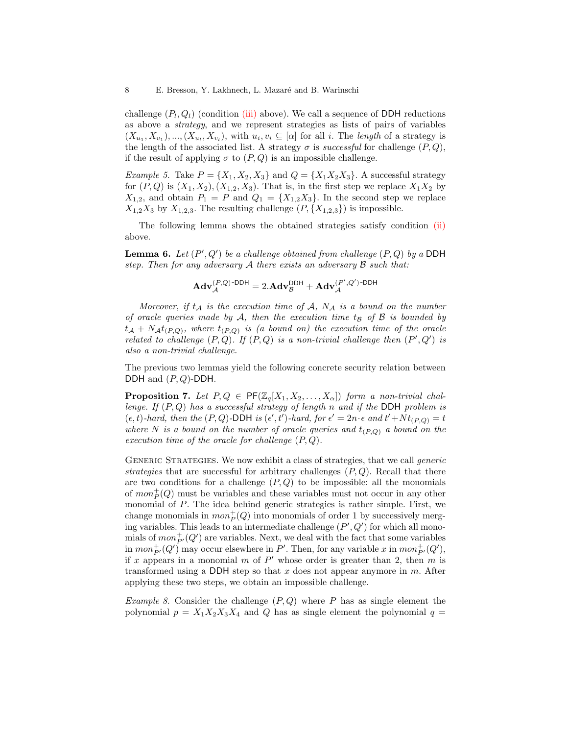challenge  $(P_l, Q_l)$  (condition [\(iii\)](#page-6-0) above). We call a sequence of DDH reductions as above a strategy, and we represent strategies as lists of pairs of variables  $(X_{u_1}, X_{v_1}), ..., (X_{u_l}, X_{v_l})$ , with  $u_i, v_i \subseteq [\alpha]$  for all i. The length of a strategy is the length of the associated list. A strategy  $\sigma$  is successful for challenge  $(P, Q)$ , if the result of applying  $\sigma$  to  $(P,Q)$  is an impossible challenge.

*Example 5.* Take  $P = \{X_1, X_2, X_3\}$  and  $Q = \{X_1X_2X_3\}$ . A successful strategy for  $(P,Q)$  is  $(X_1, X_2), (X_{1,2}, X_3)$ . That is, in the first step we replace  $X_1X_2$  by  $X_{1,2}$ , and obtain  $P_1 = P$  and  $Q_1 = \{X_{1,2}X_3\}$ . In the second step we replace  $X_{1,2}X_3$  by  $X_{1,2,3}$ . The resulting challenge  $(P, \{X_{1,2,3}\})$  is impossible.

<span id="page-7-1"></span>The following lemma shows the obtained strategies satisfy condition [\(ii\)](#page-6-1) above.

**Lemma 6.** Let  $(P', Q')$  be a challenge obtained from challenge  $(P, Q)$  by a DDH step. Then for any adversary  $A$  there exists an adversary  $B$  such that:

$$
\mathbf{Adv}_{\mathcal{A}}^{(P,Q)\text{-DDH}} = 2.\mathbf{Adv}_{\mathcal{B}}^{\mathsf{DDH}} + \mathbf{Adv}_{\mathcal{A}}^{(P',Q')\text{-DDH}}
$$

Moreover, if  $t_A$  is the execution time of A,  $N_A$  is a bound on the number of oracle queries made by A, then the execution time  $t_B$  of  $\beta$  is bounded by  $t_{\mathcal{A}}+N_{\mathcal{A}}t_{(P,Q)}$ , where  $t_{(P,Q)}$  is (a bound on) the execution time of the oracle related to challenge  $(P,Q)$ . If  $(P,Q)$  is a non-trivial challenge then  $(P',Q')$  is also a non-trivial challenge.

<span id="page-7-0"></span>The previous two lemmas yield the following concrete security relation between DDH and  $(P, Q)$ -DDH.

**Proposition 7.** Let  $P, Q \in \mathsf{PF}(\mathbb{Z}_q[X_1, X_2, \ldots, X_\alpha])$  form a non-trivial challenge. If  $(P,Q)$  has a successful strategy of length n and if the DDH problem is  $(\epsilon, t)$ -hard, then the  $(P, Q)$ -DDH is  $(\epsilon', t')$ -hard, for  $\epsilon' = 2n \cdot \epsilon$  and  $t' + Nt_{(P,Q)} = t$ where N is a bound on the number of oracle queries and  $t_{(P,Q)}$  a bound on the execution time of the oracle for challenge  $(P,Q)$ .

GENERIC STRATEGIES. We now exhibit a class of strategies, that we call *generic* strategies that are successful for arbitrary challenges  $(P,Q)$ . Recall that there are two conditions for a challenge  $(P, Q)$  to be impossible: all the monomials of  $\text{mon}_P^+(Q)$  must be variables and these variables must not occur in any other monomial of P. The idea behind generic strategies is rather simple. First, we change monomials in  $\mathit{mon}_{P}^+(Q)$  into monomials of order 1 by successively merging variables. This leads to an intermediate challenge  $(P', Q')$  for which all monomials of  $mon_{P'}^+(Q')$  are variables. Next, we deal with the fact that some variables in  $mon_{P'}^+(Q')$  may occur elsewhere in  $P'$ . Then, for any variable x in  $mon_{P'}^+(Q')$ , if x appears in a monomial m of  $P'$  whose order is greater than 2, then m is transformed using a DDH step so that  $x$  does not appear anymore in  $m$ . After applying these two steps, we obtain an impossible challenge.

*Example 8.* Consider the challenge  $(P,Q)$  where P has as single element the polynomial  $p = X_1X_2X_3X_4$  and Q has as single element the polynomial  $q =$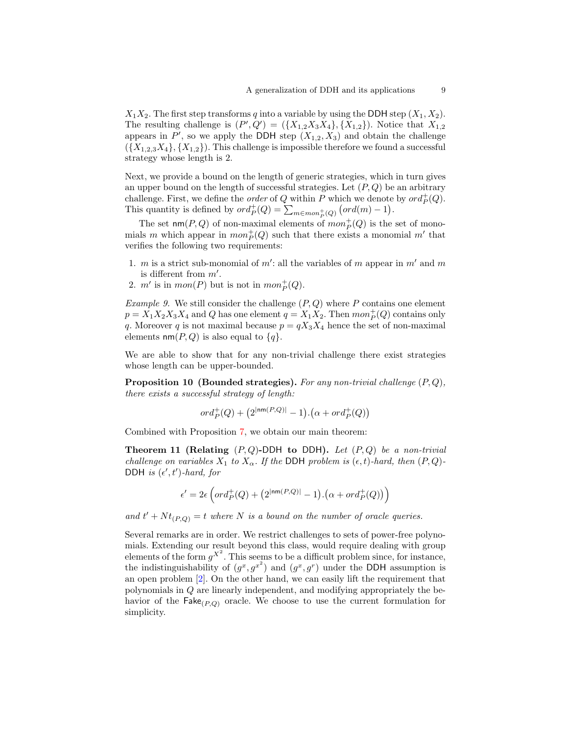$X_1X_2$ . The first step transforms q into a variable by using the DDH step  $(X_1, X_2)$ . The resulting challenge is  $(P', Q') = (\{X_{1,2}X_3X_4\}, \{X_{1,2}\})$ . Notice that  $X_{1,2}$ appears in  $P'$ , so we apply the DDH step  $(X_{1,2}, X_3)$  and obtain the challenge  $({X_{1,2,3}X_4}, {X_{1,2}})$ . This challenge is impossible therefore we found a successful strategy whose length is 2.

Next, we provide a bound on the length of generic strategies, which in turn gives an upper bound on the length of successful strategies. Let  $(P,Q)$  be an arbitrary challenge. First, we define the *order* of Q within P which we denote by  $ord_P^+(Q)$ . This quantity is defined by  $ord_P^+(Q) = \sum_{m \in mon_P^+(Q)} (ord(m) - 1).$ 

The set  $\mathsf{nm}(P,Q)$  of non-maximal elements of  $\mathsf{mon}_P^+(Q)$  is the set of monomials m which appear in  $mon_P^+(Q)$  such that there exists a monomial m' that verifies the following two requirements:

- 1. *m* is a strict sub-monomial of  $m'$ : all the variables of m appear in m' and m is different from  $m'$ .
- 2.  $m'$  is in  $mon(P)$  but is not in  $mon_P^+(Q)$ .

*Example 9.* We still consider the challenge  $(P, Q)$  where P contains one element  $p = X_1 X_2 X_3 X_4$  and Q has one element  $q = X_1 X_2$ . Then  $mon_P^+(Q)$  contains only q. Moreover q is not maximal because  $p = qX_3X_4$  hence the set of non-maximal elements  $\mathsf{nm}(P,Q)$  is also equal to  $\{q\}.$ 

We are able to show that for any non-trivial challenge there exist strategies whose length can be upper-bounded.

**Proposition 10 (Bounded strategies).** For any non-trivial challenge  $(P,Q)$ , there exists a successful strategy of length:

$$
ord^+_P(Q) + \big(2^{|{\mathsf{nm}}(P,Q)|}-1\big).\big(\alpha + ord^+_P(Q)\big)
$$

<span id="page-8-0"></span>Combined with Proposition [7,](#page-7-0) we obtain our main theorem:

**Theorem 11 (Relating**  $(P,Q)$ -DDH to DDH). Let  $(P,Q)$  be a non-trivial challenge on variables  $X_1$  to  $X_\alpha$ . If the DDH problem is  $(\epsilon, t)$ -hard, then  $(P, Q)$ -DDH is  $(\epsilon', t')$ -hard, for

$$
\epsilon'=2\epsilon\left( ord^+_P(Q)+\left(2^{|{\rm nm}(P,Q)|}-1\right)\left(\alpha+ord^+_P(Q)\right)\right)
$$

and  $t' + Nt_{(P,Q)} = t$  where N is a bound on the number of oracle queries.

Several remarks are in order. We restrict challenges to sets of power-free polynomials. Extending our result beyond this class, would require dealing with group elements of the form  $g^{X^2}$ . This seems to be a difficult problem since, for instance, the indistinguishability of  $(g^x, g^{x^2})$  and  $(g^x, g^r)$  under the DDH assumption is an open problem [\[2\]](#page-16-5). On the other hand, we can easily lift the requirement that polynomials in Q are linearly independent, and modifying appropriately the behavior of the Fake $_{(P,Q)}$  oracle. We choose to use the current formulation for simplicity.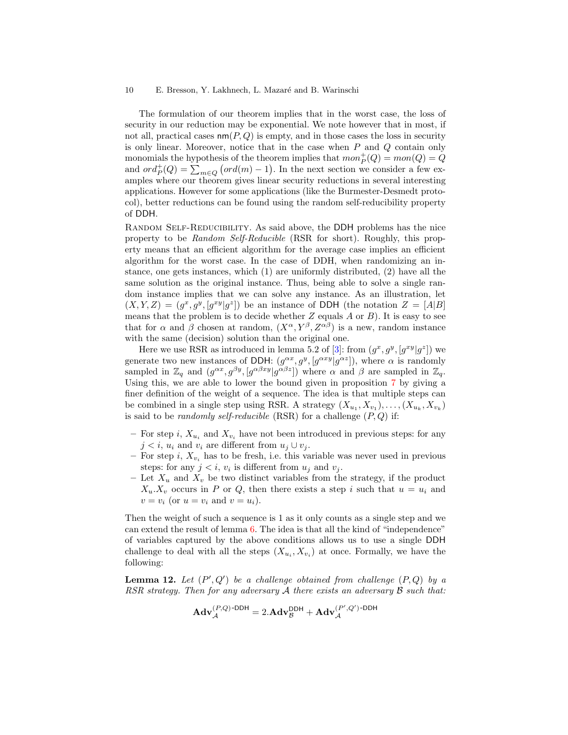The formulation of our theorem implies that in the worst case, the loss of security in our reduction may be exponential. We note however that in most, if not all, practical cases  $\textsf{nm}(P,Q)$  is empty, and in those cases the loss in security is only linear. Moreover, notice that in the case when  $P$  and  $Q$  contain only monomials the hypothesis of the theorem implies that  $mon_P^+(Q) = mon(Q) = Q$ and  $ord_P^+(Q) = \sum_{m \in Q} (ord(m) - 1)$ . In the next section we consider a few examples where our theorem gives linear security reductions in several interesting applications. However for some applications (like the Burmester-Desmedt protocol), better reductions can be found using the random self-reducibility property of DDH.

RANDOM SELF-REDUCIBILITY. As said above, the DDH problems has the nice property to be Random Self-Reducible (RSR for short). Roughly, this property means that an efficient algorithm for the average case implies an efficient algorithm for the worst case. In the case of DDH, when randomizing an instance, one gets instances, which (1) are uniformly distributed, (2) have all the same solution as the original instance. Thus, being able to solve a single random instance implies that we can solve any instance. As an illustration, let  $(X, Y, Z) = (g^x, g^y, [g^{xy} | g^z])$  be an instance of DDH (the notation  $Z = [A|B]$ ) means that the problem is to decide whether  $Z$  equals  $A$  or  $B$ ). It is easy to see that for  $\alpha$  and  $\beta$  chosen at random,  $(X^{\alpha}, Y^{\beta}, Z^{\alpha\beta})$  is a new, random instance with the same (decision) solution than the original one.

Here we use RSR as introduced in lemma 5.2 of [\[3\]](#page-16-6): from  $(g^x, g^y, [g^{xy}|g^z])$  we generate two new instances of DDH:  $(g^{\alpha x}, g^y, [g^{\alpha xy}]g^{\alpha z}]$ , where  $\alpha$  is randomly sampled in  $\mathbb{Z}_q$  and  $(g^{\alpha x}, g^{\beta y}, [g^{\alpha \beta xy} | g^{\alpha \beta z}])$  where  $\alpha$  and  $\beta$  are sampled in  $\mathbb{Z}_q$ . Using this, we are able to lower the bound given in proposition [7](#page-7-0) by giving a finer definition of the weight of a sequence. The idea is that multiple steps can be combined in a single step using RSR. A strategy  $(X_{u_1}, X_{v_1}), \ldots, (X_{u_k}, X_{v_k})$ is said to be *randomly self-reducible* (RSR) for a challenge  $(P, Q)$  if:

- For step *i*,  $X_{u_i}$  and  $X_{v_i}$  have not been introduced in previous steps: for any  $j < i$ ,  $u_i$  and  $v_i$  are different from  $u_j \cup v_j$ .
- For step i,  $X_{v_i}$  has to be fresh, i.e. this variable was never used in previous steps: for any  $j < i$ ,  $v_i$  is different from  $u_j$  and  $v_j$ .
- Let  $X_u$  and  $X_v$  be two distinct variables from the strategy, if the product  $X_u$ . $X_v$  occurs in P or Q, then there exists a step i such that  $u = u_i$  and  $v = v_i$  (or  $u = v_i$  and  $v = u_i$ ).

Then the weight of such a sequence is 1 as it only counts as a single step and we can extend the result of lemma [6.](#page-7-1) The idea is that all the kind of "independence" of variables captured by the above conditions allows us to use a single DDH challenge to deal with all the steps  $(X_{u_i}, X_{v_i})$  at once. Formally, we have the following:

<span id="page-9-0"></span>**Lemma 12.** Let  $(P', Q')$  be a challenge obtained from challenge  $(P, Q)$  by a RSR strategy. Then for any adversary  $A$  there exists an adversary  $B$  such that:

$$
\mathbf{Adv}_{\mathcal{A}}^{(P,Q)\text{-DDH}} = 2.\mathbf{Adv}_{\mathcal{B}}^{\mathsf{DDH}} + \mathbf{Adv}_{\mathcal{A}}^{(P',Q')\text{-DDH}}
$$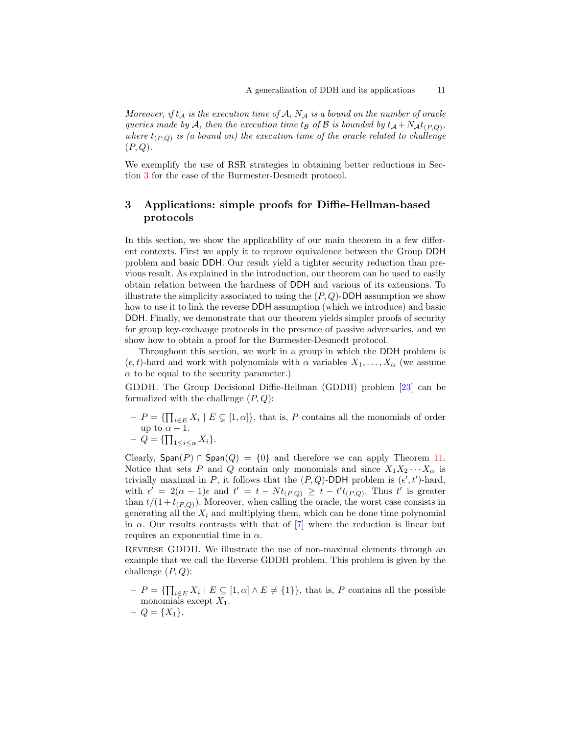Moreover, if  $t_A$  is the execution time of A,  $N_A$  is a bound on the number of oracle queries made by A, then the execution time  $t_B$  of B is bounded by  $t_A + N_A t_{(P,Q)}$ , where  $t_{(P,Q)}$  is (a bound on) the execution time of the oracle related to challenge  $(P,Q).$ 

We exemplify the use of RSR strategies in obtaining better reductions in Section [3](#page-10-0) for the case of the Burmester-Desmedt protocol.

# <span id="page-10-0"></span>3 Applications: simple proofs for Diffie-Hellman-based protocols

In this section, we show the applicability of our main theorem in a few different contexts. First we apply it to reprove equivalence between the Group DDH problem and basic DDH. Our result yield a tighter security reduction than previous result. As explained in the introduction, our theorem can be used to easily obtain relation between the hardness of DDH and various of its extensions. To illustrate the simplicity associated to using the  $(P, Q)$ -DDH assumption we show how to use it to link the reverse DDH assumption (which we introduce) and basic DDH. Finally, we demonstrate that our theorem yields simpler proofs of security for group key-exchange protocols in the presence of passive adversaries, and we show how to obtain a proof for the Burmester-Desmedt protocol.

Throughout this section, we work in a group in which the DDH problem is  $(\epsilon, t)$ -hard and work with polynomials with  $\alpha$  variables  $X_1, \ldots, X_\alpha$  (we assume  $\alpha$  to be equal to the security parameter.)

GDDH. The Group Decisional Diffie-Hellman (GDDH) problem [\[23\]](#page-17-4) can be formalized with the challenge  $(P,Q)$ :

 $-P = {\prod_{i \in E} X_i \mid E \subsetneq [1, \alpha]},$  that is, P contains all the monomials of order up to  $\alpha - 1$ .

$$
- Q = \{\prod_{1 \leq i \leq \alpha} X_i\}.
$$

Clearly,  $\text{Span}(P) \cap \text{Span}(Q) = \{0\}$  and therefore we can apply Theorem [11.](#page-8-0) Notice that sets P and Q contain only monomials and since  $X_1X_2\cdots X_\alpha$  is trivially maximal in P, it follows that the  $(P, Q)$ -DDH problem is  $(\epsilon', t')$ -hard, with  $\epsilon' = 2(\alpha - 1)\epsilon$  and  $t' = t - Nt_{(P,Q)} \geq t - t't_{(P,Q)}$ . Thus t' is greater than  $t/(1+t_{(P,Q)})$ . Moreover, when calling the oracle, the worst case consists in generating all the  $X_i$  and multiplying them, which can be done time polynomial in  $\alpha$ . Our results contrasts with that of [\[7\]](#page-16-2) where the reduction is linear but requires an exponential time in  $\alpha$ .

Reverse GDDH. We illustrate the use of non-maximal elements through an example that we call the Reverse GDDH problem. This problem is given by the challenge  $(P, Q)$ :

 $-P = \{\prod_{i \in E} X_i \mid E \subseteq [1, \alpha] \wedge E \neq \{1\}\}\$ , that is, P contains all the possible monomials except  $X_1$ .

$$
-Q = \{X_1\}.
$$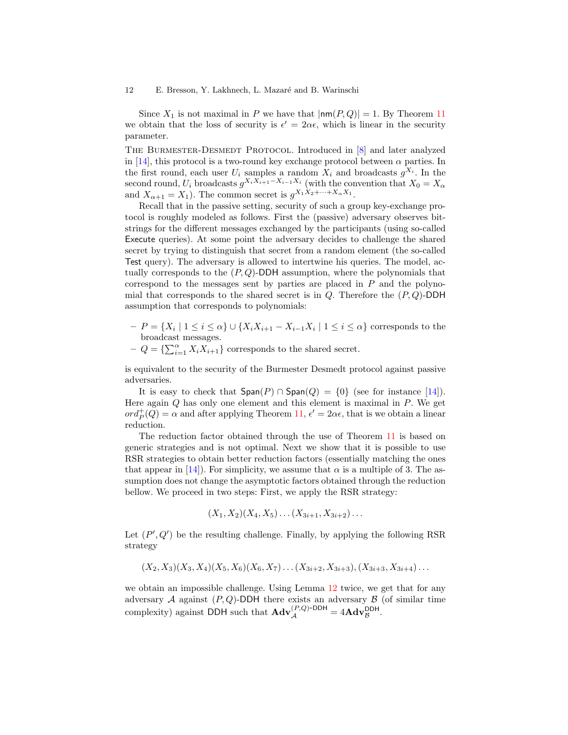Since  $X_1$  is not maximal in P we have that  $|\text{nm}(P,Q)| = 1$ . By Theorem [11](#page-8-0) we obtain that the loss of security is  $\epsilon' = 2\alpha\epsilon$ , which is linear in the security parameter.

THE BURMESTER-DESMEDT PROTOCOL. Introduced in [\[8\]](#page-17-12) and later analyzed in [\[14\]](#page-17-5), this protocol is a two-round key exchange protocol between  $\alpha$  parties. In the first round, each user  $U_i$  samples a random  $X_i$  and broadcasts  $g^{X_i}$ . In the second round,  $U_i$  broadcasts  $g^{X_i X_{i+1} - X_{i-1} X_i}$  (with the convention that  $X_0 = X_\alpha$ and  $X_{\alpha+1} = X_1$ ). The common secret is  $g^{X_1 X_2 + \dots + X_{\alpha} X_1}$ .

Recall that in the passive setting, security of such a group key-exchange protocol is roughly modeled as follows. First the (passive) adversary observes bitstrings for the different messages exchanged by the participants (using so-called Execute queries). At some point the adversary decides to challenge the shared secret by trying to distinguish that secret from a random element (the so-called Test query). The adversary is allowed to intertwine his queries. The model, actually corresponds to the  $(P, Q)$ -DDH assumption, where the polynomials that correspond to the messages sent by parties are placed in  $P$  and the polynomial that corresponds to the shared secret is in  $Q$ . Therefore the  $(P, Q)$ -DDH assumption that corresponds to polynomials:

- $-P = \{X_i \mid 1 \leq i \leq \alpha\} \cup \{X_iX_{i+1} X_{i-1}X_i \mid 1 \leq i \leq \alpha\}$  corresponds to the broadcast messages.
- $-Q = \left\{ \sum_{i=1}^{\alpha} X_i X_{i+1} \right\}$  corresponds to the shared secret.

is equivalent to the security of the Burmester Desmedt protocol against passive adversaries.

It is easy to check that  $\text{Span}(P) \cap \text{Span}(Q) = \{0\}$  (see for instance [\[14\]](#page-17-5)). Here again  $Q$  has only one element and this element is maximal in  $P$ . We get  $ord_P^+(Q) = \alpha$  and after applying Theorem [11,](#page-8-0)  $\epsilon' = 2\alpha\epsilon$ , that is we obtain a linear reduction.

The reduction factor obtained through the use of Theorem [11](#page-8-0) is based on generic strategies and is not optimal. Next we show that it is possible to use RSR strategies to obtain better reduction factors (essentially matching the ones that appear in [\[14\]](#page-17-5)). For simplicity, we assume that  $\alpha$  is a multiple of 3. The assumption does not change the asymptotic factors obtained through the reduction bellow. We proceed in two steps: First, we apply the RSR strategy:

$$
(X_1, X_2)(X_4, X_5) \dots (X_{3i+1}, X_{3i+2}) \dots
$$

Let  $(P', Q')$  be the resulting challenge. Finally, by applying the following RSR strategy

$$
(X_2, X_3)(X_3, X_4)(X_5, X_6)(X_6, X_7)\ldots (X_{3i+2}, X_{3i+3}), (X_{3i+3}, X_{3i+4})\ldots
$$

we obtain an impossible challenge. Using Lemma [12](#page-9-0) twice, we get that for any adversary A against  $(P, Q)$ -DDH there exists an adversary B (of similar time complexity) against DDH such that  $\mathbf{Adv}_{\mathcal{A}}^{(P,Q)\text{-DDH}} = 4\mathbf{Adv}_{\mathcal{B}}^{\text{DDH}}.$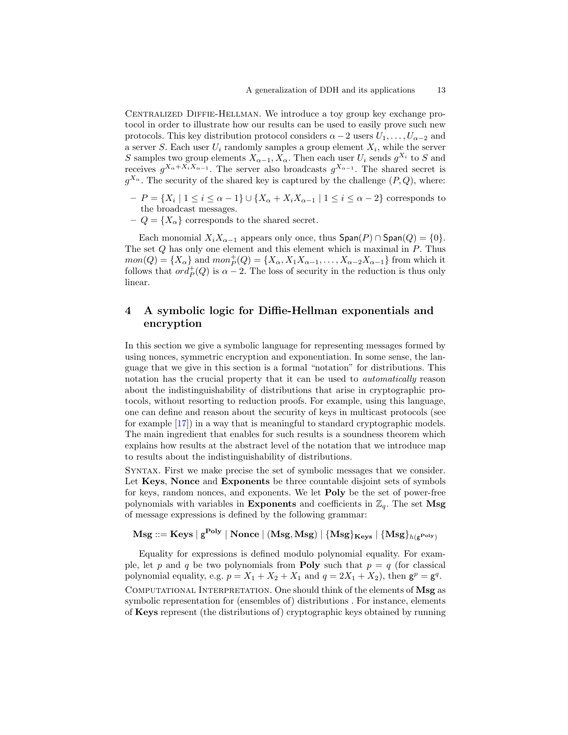Centralized Diffie-Hellman. We introduce a toy group key exchange protocol in order to illustrate how our results can be used to easily prove such new protocols. This key distribution protocol considers  $\alpha - 2$  users  $U_1, \ldots, U_{\alpha-2}$  and a server S. Each user  $U_i$  randomly samples a group element  $X_i$ , while the server S samples two group elements  $X_{\alpha-1}$ ,  $X_{\alpha}$ . Then each user  $U_i$  sends  $g^{X_i}$  to S and receives  $g^{X_{\alpha}+X_iX_{\alpha-1}}$ . The server also broadcasts  $g^{X_{\alpha-1}}$ . The shared secret is  $g^{X_{\alpha}}$ . The security of the shared key is captured by the challenge  $(P,Q)$ , where:

- $-P = \{X_i \mid 1 \leq i \leq \alpha 1\} \cup \{X_\alpha + X_i X_{\alpha-1} \mid 1 \leq i \leq \alpha 2\}$  corresponds to the broadcast messages.
- $Q = \{X_{\alpha}\}\)$  corresponds to the shared secret.

Each monomial  $X_iX_{\alpha-1}$  appears only once, thus  $\textsf{Span}(P) \cap \textsf{Span}(Q) = \{0\}.$ The set Q has only one element and this element which is maximal in P. Thus  $mon(Q) = \{X_{\alpha}\}\$ and  $mon_P^+(Q) = \{X_{\alpha}, X_1X_{\alpha-1}, \ldots, X_{\alpha-2}X_{\alpha-1}\}\$  from which it follows that  $\sigma d^+_{P}(Q)$  is  $\alpha - 2$ . The loss of security in the reduction is thus only linear.

# <span id="page-12-0"></span>4 A symbolic logic for Diffie-Hellman exponentials and encryption

In this section we give a symbolic language for representing messages formed by using nonces, symmetric encryption and exponentiation. In some sense, the language that we give in this section is a formal "notation" for distributions. This notation has the crucial property that it can be used to automatically reason about the indistinguishability of distributions that arise in cryptographic protocols, without resorting to reduction proofs. For example, using this language, one can define and reason about the security of keys in multicast protocols (see for example [\[17\]](#page-17-13)) in a way that is meaningful to standard cryptographic models. The main ingredient that enables for such results is a soundness theorem which explains how results at the abstract level of the notation that we introduce map to results about the indistinguishability of distributions.

Syntax. First we make precise the set of symbolic messages that we consider. Let Keys, Nonce and Exponents be three countable disjoint sets of symbols for keys, random nonces, and exponents. We let Poly be the set of power-free polynomials with variables in **Exponents** and coefficients in  $\mathbb{Z}_q$ . The set **Msg** of message expressions is defined by the following grammar:

# ${\rm Msg}::={\rm Keys}\mid{\rm g}^{{\rm Poly}}\mid{\rm None}\mid ({\rm Msg},{\rm Msg})\mid \{{\rm Msg}\}_{\rm Keys}\mid \{{\rm Msg}\}_{h({\rm g}^{{\rm Poly}})}$

Equality for expressions is defined modulo polynomial equality. For example, let p and q be two polynomials from **Poly** such that  $p = q$  (for classical polynomial equality, e.g.  $p = X_1 + X_2 + X_1$  and  $q = 2X_1 + X_2$ , then  $\mathbf{g}^p = \mathbf{g}^q$ . COMPUTATIONAL INTERPRETATION. One should think of the elements of Msg as symbolic representation for (ensembles of) distributions . For instance, elements of Keys represent (the distributions of) cryptographic keys obtained by running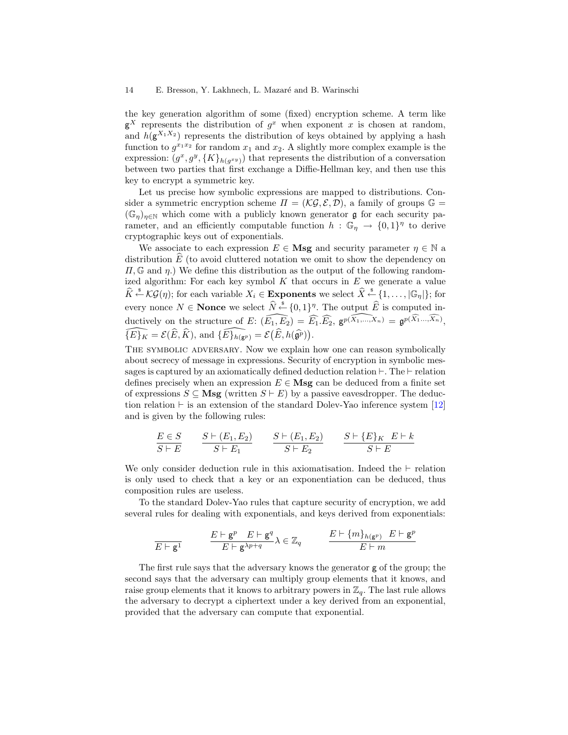the key generation algorithm of some (fixed) encryption scheme. A term like  $g^X$  represents the distribution of  $g^x$  when exponent x is chosen at random, and  $h(\mathbf{g}^{X_1 X_2})$  represents the distribution of keys obtained by applying a hash function to  $g^{x_1x_2}$  for random  $x_1$  and  $x_2$ . A slightly more complex example is the expression:  $(g^x, g^y, \{K\}_{h(g^{xy})})$  that represents the distribution of a conversation between two parties that first exchange a Diffie-Hellman key, and then use this key to encrypt a symmetric key.

Let us precise how symbolic expressions are mapped to distributions. Consider a symmetric encryption scheme  $\Pi = (\mathcal{K}\mathcal{G}, \mathcal{E}, \mathcal{D})$ , a family of groups  $\mathbb{G} =$  $(\mathbb{G}_n)_{n\in\mathbb{N}}$  which come with a publicly known generator **g** for each security parameter, and an efficiently computable function  $h : \mathbb{G}_\eta \to \{0,1\}^\eta$  to derive cryptographic keys out of exponentials.

We associate to each expression  $E \in \mathbf{Msg}$  and security parameter  $\eta \in \mathbb{N}$  a distribution  $\hat{E}$  (to avoid cluttered notation we omit to show the dependency on  $\Pi$ , G and  $\eta$ .) We define this distribution as the output of the following randomized algorithm: For each key symbol  $K$  that occurs in  $E$  we generate a value  $\widehat{K} \stackrel{\$}{\leftarrow} \mathcal{KG}(\eta)$ ; for each variable  $X_i \in \mathbf{Exponents}$  we select  $\widehat{X} \stackrel{\$}{\leftarrow} \{1, \ldots, |\mathbb{G}_{\eta}|\};$  for every nonce  $N \in \mathbf{None}$  we select  $\widehat{N} \stackrel{\$}{\leftarrow} \{0, 1\}^{\eta}$ . The output  $\widehat{E}$  is computed inductively on the structure of  $E: (\widehat{E_1, E_2}) = \widehat{E_1} \cdot \widehat{E_2}$ ,  $g^{p(\widehat{X_1},...,X_n)} = g^{p(\widehat{X_1}...,\widehat{X_n})}$ ,  $\widehat{\{E\}_K} = \mathcal{E}(\widehat{E}, \widehat{K}),$  and  $\widehat{\{E\}_h(g^p)} = \mathcal{E}(\widehat{E}, h(\widehat{\mathfrak{g}^p})).$ 

THE SYMBOLIC ADVERSARY. Now we explain how one can reason symbolically about secrecy of message in expressions. Security of encryption in symbolic messages is captured by an axiomatically defined deduction relation  $\vdash$ . The  $\vdash$  relation defines precisely when an expression  $E \in \mathbf{Msg}$  can be deduced from a finite set of expressions  $S \subseteq \mathbf{Msg}$  (written  $S \vdash E$ ) by a passive eavesdropper. The deduction relation  $\vdash$  is an extension of the standard Dolev-Yao inference system [\[12\]](#page-17-14) and is given by the following rules:

$$
\frac{E \in S}{S \vdash E} \qquad \frac{S \vdash (E_1, E_2)}{S \vdash E_1} \qquad \frac{S \vdash (E_1, E_2)}{S \vdash E_2} \qquad \frac{S \vdash \{E\}_K \quad E \vdash k}{S \vdash E}
$$

We only consider deduction rule in this axiomatisation. Indeed the  $\vdash$  relation is only used to check that a key or an exponentiation can be deduced, thus composition rules are useless.

To the standard Dolev-Yao rules that capture security of encryption, we add several rules for dealing with exponentials, and keys derived from exponentials:

$$
\frac{E \vdash g^p \quad E \vdash g^q}{E \vdash g^{\lambda p+q}} \lambda \in \mathbb{Z}_q \qquad \frac{E \vdash \{m\}_{h(g^p)} \ E \vdash g^p}{E \vdash m}
$$

The first rule says that the adversary knows the generator g of the group; the second says that the adversary can multiply group elements that it knows, and raise group elements that it knows to arbitrary powers in  $\mathbb{Z}_q$ . The last rule allows the adversary to decrypt a ciphertext under a key derived from an exponential, provided that the adversary can compute that exponential.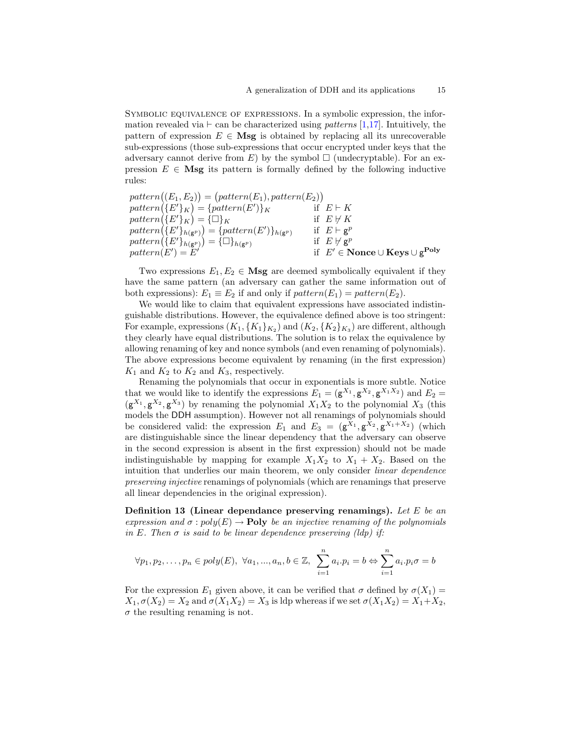Symbolic equivalence of expressions. In a symbolic expression, the information revealed via  $\vdash$  can be characterized using *patterns* [\[1](#page-16-0)[,17\]](#page-17-13). Intuitively, the pattern of expression  $E \in \mathbf{Msg}$  is obtained by replacing all its unrecoverable sub-expressions (those sub-expressions that occur encrypted under keys that the adversary cannot derive from E) by the symbol  $\Box$  (undecryptable). For an expression  $E \in \mathbf{Msg}$  its pattern is formally defined by the following inductive rules:

| $pattern((E_1, E_2)) = (pattern(E_1), pattern(E_2))$                |                                                                      |
|---------------------------------------------------------------------|----------------------------------------------------------------------|
| $pattern({E'}_K) = {pattern(E')}_K$                                 | if $E \vdash K$                                                      |
| $pattern({E'}_K) = {\Box}_K$                                        | if $E \nvdash K$                                                     |
| $pattern({E'}_{h(\mathbf{g}^p)}) = {pattern(E')}_{h(\mathbf{g}^p)}$ | if $E \vdash g^p$                                                    |
| $pattern({E'}_{h(\mathbf{g}^p)}) = {\square}_{h(\mathbf{g}^p)}$     | if $E \not\models g^p$                                               |
| $pattern(E') = E'$                                                  | if $E' \in \text{None} \cup \text{Keys} \cup \text{g}^{\text{Poly}}$ |

Two expressions  $E_1, E_2 \in \mathbf{Msg}$  are deemed symbolically equivalent if they have the same pattern (an adversary can gather the same information out of both expressions):  $E_1 \equiv E_2$  if and only if  $pattern(E_1) = pattern(E_2)$ .

We would like to claim that equivalent expressions have associated indistinguishable distributions. However, the equivalence defined above is too stringent: For example, expressions  $(K_1, \{K_1\}_{K_2})$  and  $(K_2, \{K_2\}_{K_3})$  are different, although they clearly have equal distributions. The solution is to relax the equivalence by allowing renaming of key and nonce symbols (and even renaming of polynomials). The above expressions become equivalent by renaming (in the first expression)  $K_1$  and  $K_2$  to  $K_2$  and  $K_3$ , respectively.

Renaming the polynomials that occur in exponentials is more subtle. Notice that we would like to identify the expressions  $E_1 = (\mathbf{g}^{X_1}, \mathbf{g}^{X_2}, \mathbf{g}^{X_1 X_2})$  and  $E_2 =$  $(g^{X_1}, g^{X_2}, g^{X_3})$  by renaming the polynomial  $X_1X_2$  to the polynomial  $X_3$  (this models the DDH assumption). However not all renamings of polynomials should be considered valid: the expression  $E_1$  and  $E_3 = (\mathbf{g}^{X_1}, \mathbf{g}^{X_2}, \mathbf{g}^{X_1+X_2})$  (which are distinguishable since the linear dependency that the adversary can observe in the second expression is absent in the first expression) should not be made indistinguishable by mapping for example  $X_1X_2$  to  $X_1 + X_2$ . Based on the intuition that underlies our main theorem, we only consider linear dependence preserving injective renamings of polynomials (which are renamings that preserve all linear dependencies in the original expression).

Definition 13 (Linear dependance preserving renamings). Let  $E$  be an expression and  $\sigma$ : poly(E)  $\rightarrow$  Poly be an injective renaming of the polynomials in E. Then  $\sigma$  is said to be linear dependence preserving (ldp) if:

$$
\forall p_1, p_2, \dots, p_n \in poly(E), \ \forall a_1, \dots, a_n, b \in \mathbb{Z}, \ \sum_{i=1}^n a_i \cdot p_i = b \Leftrightarrow \sum_{i=1}^n a_i \cdot p_i \cdot \sigma = b
$$

For the expression  $E_1$  given above, it can be verified that  $\sigma$  defined by  $\sigma(X_1)$  =  $X_1, \sigma(X_2) = X_2$  and  $\sigma(X_1X_2) = X_3$  is ldp whereas if we set  $\sigma(X_1X_2) = X_1+X_2$ ,  $\sigma$  the resulting renaming is not.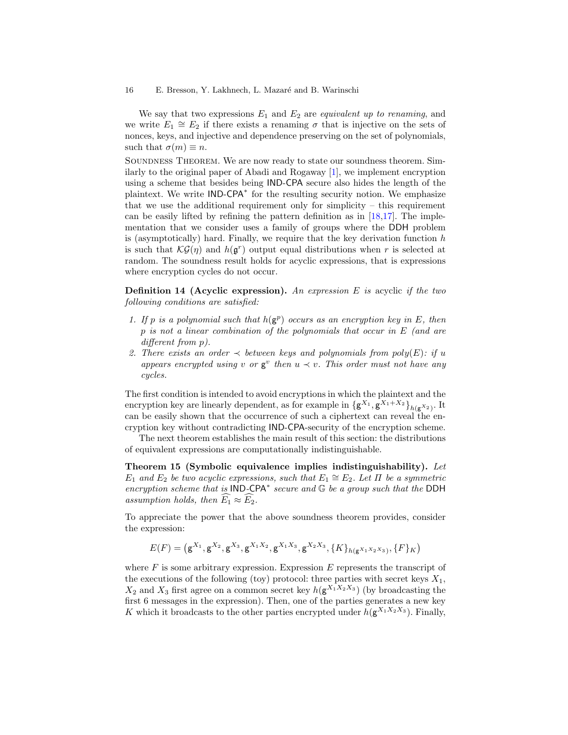We say that two expressions  $E_1$  and  $E_2$  are *equivalent up to renaming*, and we write  $E_1 \cong E_2$  if there exists a renaming  $\sigma$  that is injective on the sets of nonces, keys, and injective and dependence preserving on the set of polynomials, such that  $\sigma(m) \equiv n$ .

Soundness Theorem. We are now ready to state our soundness theorem. Similarly to the original paper of Abadi and Rogaway [\[1\]](#page-16-0), we implement encryption using a scheme that besides being IND-CPA secure also hides the length of the plaintext. We write IND-CPA<sup>\*</sup> for the resulting security notion. We emphasize that we use the additional requirement only for simplicity  $-$  this requirement can be easily lifted by refining the pattern definition as in [\[18](#page-17-15)[,17\]](#page-17-13). The implementation that we consider uses a family of groups where the DDH problem is (asymptotically) hard. Finally, we require that the key derivation function  $h$ is such that  $\mathcal{KG}(\eta)$  and  $h(\mathfrak{g}^r)$  output equal distributions when r is selected at random. The soundness result holds for acyclic expressions, that is expressions where encryption cycles do not occur.

**Definition 14 (Acyclic expression).** An expression  $E$  is acyclic if the two following conditions are satisfied:

- 1. If p is a polynomial such that  $h(g^p)$  occurs as an encryption key in E, then p is not a linear combination of the polynomials that occur in E (and are different from  $p$ ).
- 2. There exists an order  $\prec$  between keys and polynomials from poly(E): if u appears encrypted using v or  $g^v$  then  $u \prec v$ . This order must not have any cycles.

The first condition is intended to avoid encryptions in which the plaintext and the encryption key are linearly dependent, as for example in  $\{g^{X_1}, g^{X_1+X_2}\}_{h(g^{X_2})}$ . It can be easily shown that the occurrence of such a ciphertext can reveal the encryption key without contradicting IND-CPA-security of the encryption scheme.

The next theorem establishes the main result of this section: the distributions of equivalent expressions are computationally indistinguishable.

Theorem 15 (Symbolic equivalence implies indistinguishability). Let  $E_1$  and  $E_2$  be two acyclic expressions, such that  $E_1 \cong E_2$ . Let  $\Pi$  be a symmetric encryption scheme that is IND-CPA<sup>\*</sup> secure and G be a group such that the DDH assumption holds, then  $E_1 \approx E_2$ .

To appreciate the power that the above soundness theorem provides, consider the expression:

<span id="page-15-0"></span>
$$
E(F)=\left({\tt g}^{X_1},{\tt g}^{X_2},{\tt g}^{X_3},{\tt g}^{X_1X_2},{\tt g}^{X_1X_3},{\tt g}^{X_2X_3},\{{K}\}_{h({\tt g}^{X_1X_2X_3})},\{{F}\}_{K}\right)
$$

where  $F$  is some arbitrary expression. Expression  $E$  represents the transcript of the executions of the following (toy) protocol: three parties with secret keys  $X_1$ ,  $X_2$  and  $X_3$  first agree on a common secret key  $h(\mathbf{g}^{X_1 X_2 X_3})$  (by broadcasting the first 6 messages in the expression). Then, one of the parties generates a new key K which it broadcasts to the other parties encrypted under  $h(\mathbf{g}^{X_1 X_2 X_3})$ . Finally,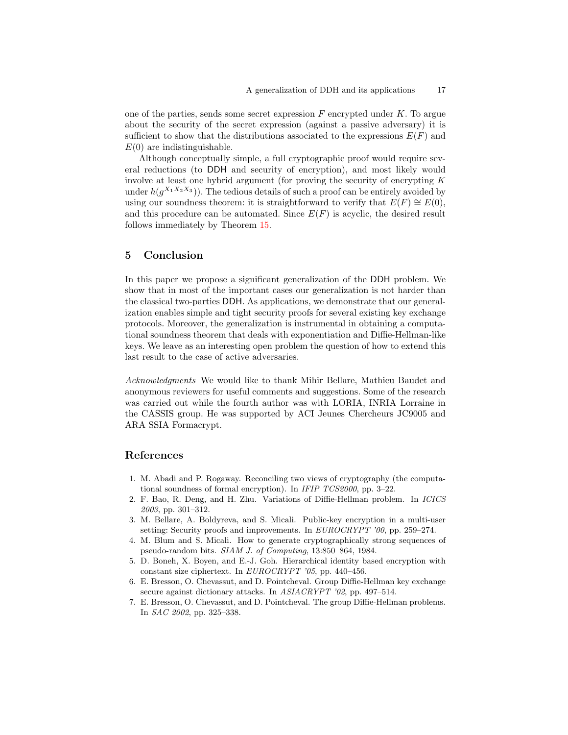one of the parties, sends some secret expression  $F$  encrypted under  $K$ . To argue about the security of the secret expression (against a passive adversary) it is sufficient to show that the distributions associated to the expressions  $E(F)$  and  $E(0)$  are indistinguishable.

Although conceptually simple, a full cryptographic proof would require several reductions (to DDH and security of encryption), and most likely would involve at least one hybrid argument (for proving the security of encrypting  $K$ under  $h(g^{X_1 X_2 X_3})$ . The tedious details of such a proof can be entirely avoided by using our soundness theorem: it is straightforward to verify that  $E(F) \cong E(0)$ , and this procedure can be automated. Since  $E(F)$  is acyclic, the desired result follows immediately by Theorem [15.](#page-15-0)

### 5 Conclusion

In this paper we propose a significant generalization of the DDH problem. We show that in most of the important cases our generalization is not harder than the classical two-parties DDH. As applications, we demonstrate that our generalization enables simple and tight security proofs for several existing key exchange protocols. Moreover, the generalization is instrumental in obtaining a computational soundness theorem that deals with exponentiation and Diffie-Hellman-like keys. We leave as an interesting open problem the question of how to extend this last result to the case of active adversaries.

Acknowledgments We would like to thank Mihir Bellare, Mathieu Baudet and anonymous reviewers for useful comments and suggestions. Some of the research was carried out while the fourth author was with LORIA, INRIA Lorraine in the CASSIS group. He was supported by ACI Jeunes Chercheurs JC9005 and ARA SSIA Formacrypt.

### References

- <span id="page-16-0"></span>1. M. Abadi and P. Rogaway. Reconciling two views of cryptography (the computational soundness of formal encryption). In IFIP TCS2000, pp. 3–22.
- <span id="page-16-5"></span>2. F. Bao, R. Deng, and H. Zhu. Variations of Diffie-Hellman problem. In ICICS 2003, pp. 301–312.
- <span id="page-16-6"></span>3. M. Bellare, A. Boldyreva, and S. Micali. Public-key encryption in a multi-user setting: Security proofs and improvements. In EUROCRYPT '00, pp. 259–274.
- <span id="page-16-1"></span>4. M. Blum and S. Micali. How to generate cryptographically strong sequences of pseudo-random bits. SIAM J. of Computing, 13:850–864, 1984.
- <span id="page-16-4"></span>5. D. Boneh, X. Boyen, and E.-J. Goh. Hierarchical identity based encryption with constant size ciphertext. In EUROCRYPT '05, pp. 440–456.
- <span id="page-16-3"></span>6. E. Bresson, O. Chevassut, and D. Pointcheval. Group Diffie-Hellman key exchange secure against dictionary attacks. In ASIACRYPT '02, pp. 497-514.
- <span id="page-16-2"></span>7. E. Bresson, O. Chevassut, and D. Pointcheval. The group Diffie-Hellman problems. In SAC 2002, pp. 325–338.